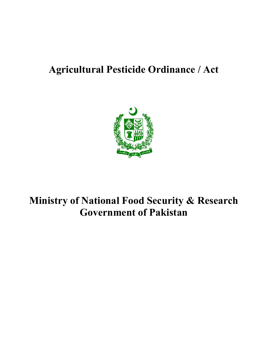## Agricultural Pesticide Ordinance / Act



# Ministry of National Food Security & Research Government of Pakistan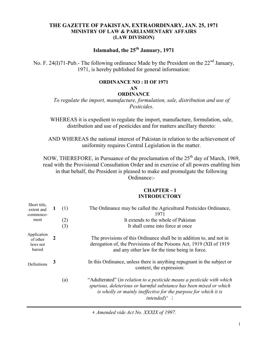#### THE GAZETTE OF PAKISTAN, EXTRAORDINARY, JAN. 25, 1971 MINISTRY OF LAW & PARLIAMENTARY AFFAIRS (LAW DIVISION)

### Islamabad, the  $25<sup>th</sup>$  January, 1971

No. F. 24(I)71-Pub.- The following ordinance Made by the President on the  $22<sup>nd</sup>$  January, 1971, is hereby published for general information:

### ORDINANCE NO : II OF 1971

#### AN

#### **ORDINANCE**

To regulate the import, manufacture, formulation, sale, distribution and use of Pesticides.

WHEREAS it is expedient to regulate the import, manufacture, formulation, sale, distribution and use of pesticides and for matters ancillary thereto:

AND WHEREAS the national interest of Pakistan in relation to the achievement of uniformity requires Central Legislation in the matter.

NOW, THEREFORE, in Pursuance of the proclamation of the  $25<sup>th</sup>$  day of March, 1969, read with the Provisional Consultation Order and in exercise of all powers enabling him in that behalf, the President is pleased to make and promulgate the following Ordinance:-

#### CHAPTER – I INTRODUCTORY

| Short title,<br>extent and<br>commence-<br>ment | $\mathbf I$ | (1)<br>(2)<br>(3) | The Ordinance may be called the Agricultural Pesticides Ordinance,<br>1971<br>It extends to the whole of Pakistan<br>It shall come into force at once                                                                                       |
|-------------------------------------------------|-------------|-------------------|---------------------------------------------------------------------------------------------------------------------------------------------------------------------------------------------------------------------------------------------|
| Application<br>of other<br>laws not<br>barred   | 2           |                   | The provisions of this Ordinance shall be in addition to, and not in<br>derogation of, the Provisions of the Poisons Act, 1919 (XII of 1919)<br>and any other law for the time being in force.                                              |
| Definitions                                     | 3           |                   | In this Ordinance, unless there is anything repugnant in the subject or<br>context, the expression:                                                                                                                                         |
|                                                 |             | (a)               | "Adulterated" (in relation to a pesticide means a pesticide with which<br>spurious, deleterious or harmful substance has been mixed or which<br>is wholly or mainly ineffective for the purpose for which it is<br>intended) <sup>4</sup> ; |
|                                                 |             |                   |                                                                                                                                                                                                                                             |

⒋Amended vide Act No. XXXIX of 1997.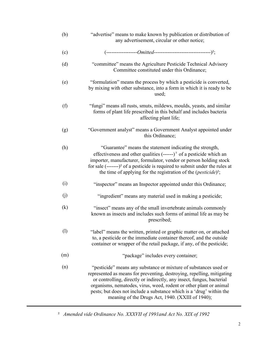| (b)      | "advertise" means to make known by publication or distribution of<br>any advertisement, circular or other notice;                                                                                                                                                                                                                                                                                                     |
|----------|-----------------------------------------------------------------------------------------------------------------------------------------------------------------------------------------------------------------------------------------------------------------------------------------------------------------------------------------------------------------------------------------------------------------------|
| (c)      |                                                                                                                                                                                                                                                                                                                                                                                                                       |
| (d)      | "committee" means the Agriculture Pesticide Technical Advisory<br>Committee constituted under this Ordinance;                                                                                                                                                                                                                                                                                                         |
| (e)      | "formulation" means the process by which a pesticide is converted,<br>by mixing with other substance, into a form in which it is ready to be<br>used;                                                                                                                                                                                                                                                                 |
| (f)      | "fungi" means all rusts, smuts, mildews, moulds, yeasts, and similar<br>forms of plant life prescribed in this behalf and includes bacteria<br>affecting plant life;                                                                                                                                                                                                                                                  |
| (g)      | "Government analyst" means a Government Analyst appointed under<br>this Ordinance;                                                                                                                                                                                                                                                                                                                                    |
| (h)      | "Guarantee" means the statement indicating the strength,<br>effectiveness and other qualities $(----)^2$ of a pesticide which an<br>importer, manufacturer, formulator, vendor or person holding stock<br>for sale $(\text{---})^2$ of a pesticide is required to submit under the rules at<br>the time of applying for the registration of the $(\textit{pesticide})^2$ ;                                            |
| (i)      | "inspector" means an Inspector appointed under this Ordinance;                                                                                                                                                                                                                                                                                                                                                        |
| (j)      | "ingredient" means any material used in making a pesticide;                                                                                                                                                                                                                                                                                                                                                           |
| $\rm(k)$ | "insect" means any of the small invertebrate animals commonly<br>known as insects and includes such forms of animal life as may be<br>prescribed;                                                                                                                                                                                                                                                                     |
| (1)      | "label" means the written, printed or graphic matter on, or attached<br>to, a pesticide or the immediate container thereof, and the outside<br>container or wrapper of the retail package, if any, of the pesticide;                                                                                                                                                                                                  |
| (m)      | "package" includes every container;                                                                                                                                                                                                                                                                                                                                                                                   |
| (n)      | "pesticide" means any substance or mixture of substances used or<br>represented as means for preventing, destroying, repelling, mitigating<br>or controlling, directly or indirectly, any insect, fungus, bacterial<br>organisms, nematodes, virus, weed, rodent or other plant or animal<br>pests; but does not include a substance which is a 'drug' within the<br>meaning of the Drugs Act, 1940. (XXIII of 1940); |

² Amended vide Ordinance No. XXXVII of 1991and Act No. XIX of 1992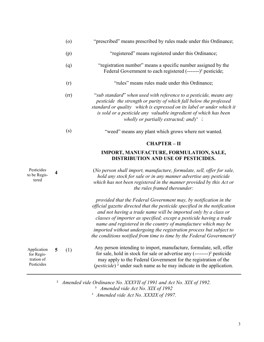|                                                       |                         | (0)  | "prescribed" means prescribed by rules made under this Ordinance;                                                                                                                                                                                                                                                                                                                                                                                                                                                      |
|-------------------------------------------------------|-------------------------|------|------------------------------------------------------------------------------------------------------------------------------------------------------------------------------------------------------------------------------------------------------------------------------------------------------------------------------------------------------------------------------------------------------------------------------------------------------------------------------------------------------------------------|
|                                                       |                         | (p)  | "registered" means registered under this Ordinance;                                                                                                                                                                                                                                                                                                                                                                                                                                                                    |
|                                                       |                         | (q)  | "registration number" means a specific number assigned by the<br>Federal Government to each registered (-------) <sup>2</sup> pesticide;                                                                                                                                                                                                                                                                                                                                                                               |
|                                                       |                         | (r)  | "rules" means rules made under this Ordinance;                                                                                                                                                                                                                                                                                                                                                                                                                                                                         |
|                                                       |                         | (rr) | "sub standard" when used with reference to a pesticide, means any<br>pesticide the strength or purity of which fall below the professed<br>standard or quality which is expressed on its label or under which it<br>is sold or a pesticide any valuable ingredient of which has been<br>wholly or partially extracted; and) <sup>4</sup> ;                                                                                                                                                                             |
|                                                       |                         | (s)  | "weed" means any plant which grows where not wanted.                                                                                                                                                                                                                                                                                                                                                                                                                                                                   |
|                                                       |                         |      | <b>CHAPTER-II</b>                                                                                                                                                                                                                                                                                                                                                                                                                                                                                                      |
|                                                       |                         |      | IMPORT, MANUFACTURE, FORMULATION, SALE,<br>DISTRIBUTION AND USE OF PESTICIDES.                                                                                                                                                                                                                                                                                                                                                                                                                                         |
| Pesticides<br>to be Regis-<br>tered                   | $\overline{\mathbf{4}}$ |      | (No person shall import, manufacture, formulate, sell, offer for sale,<br>hold any stock for sale or in any manner advertise any pesticide<br>which has not been registered in the manner provided by this Act or<br>the rules framed thereunder:                                                                                                                                                                                                                                                                      |
|                                                       |                         |      | provided that the Federal Government may, by notification in the<br>official gazette directed that the pesticide specified in the notification<br>and not having a trade name will be imported only by a class or<br>classes of importer as specified; except a pesticide having a trade<br>name and registered in the country of manufacture which may be<br>imported without undergoing the registration process but subject to<br>the conditions notified from time to time by the Federal Government) <sup>3</sup> |
| Application<br>for Regis-<br>tration of<br>Pesticides | 5                       | (1)  | Any person intending to import, manufacture, formulate, sell, offer<br>for sale, hold in stock for sale or advertise any $(\dots)$ <sup>2</sup> pesticide<br>may apply to the Federal Government for the registration of the<br>( <i>pesticide</i> ) <sup>2</sup> under such name as he may indicate in the application.                                                                                                                                                                                               |

<sup>2</sup> Amended vide Ordinance No. XXXVII of 1991 and Act No. XIX of 1992. <sup>3</sup> Amended vide Act No. XIX of 1992

<sup>4</sup> Amended vide Act No. XXXIX of 1997.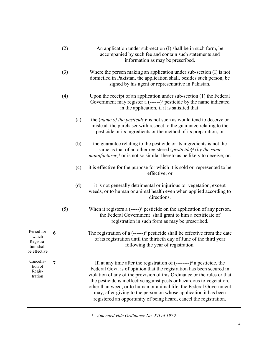|                                                                |   | (2) |     | An application under sub-section (I) shall be in such form, be<br>accompanied by such fee and contain such statements and<br>information as may be prescribed.                                                                                                                                                                                                                                                                                                                                                                    |
|----------------------------------------------------------------|---|-----|-----|-----------------------------------------------------------------------------------------------------------------------------------------------------------------------------------------------------------------------------------------------------------------------------------------------------------------------------------------------------------------------------------------------------------------------------------------------------------------------------------------------------------------------------------|
|                                                                |   | (3) |     | Where the person making an application under sub-section $(I)$ is not<br>domiciled in Pakistan, the application shall, besides such person, be<br>signed by his agent or representative in Pakistan.                                                                                                                                                                                                                                                                                                                              |
|                                                                |   | (4) |     | Upon the receipt of an application under sub-section $(1)$ the Federal<br>Government may register a $(----)^2$ pesticide by the name indicated<br>in the application, if it is satisfied that:                                                                                                                                                                                                                                                                                                                                    |
|                                                                |   |     | (a) | the (name of the pesticide) <sup>2</sup> is not such as would tend to deceive or<br>mislead the purchaser with respect to the guarantee relating to the<br>pesticide or its ingredients or the method of its preparation; or                                                                                                                                                                                                                                                                                                      |
|                                                                |   |     | (b) | the guarantee relating to the pesticide or its ingredients is not the<br>same as that of an other registered ( <i>pesticide</i> ) <sup>2</sup> ( <i>by the same</i><br><i>manufacturer</i> ) <sup>1</sup> or is not so similar thereto as be likely to deceive; or.                                                                                                                                                                                                                                                               |
|                                                                |   |     | (c) | it is effective for the purpose for which it is sold or represented to be<br>effective; or                                                                                                                                                                                                                                                                                                                                                                                                                                        |
|                                                                |   |     | (d) | it is not generally detrimental or injurious to vegetation, except<br>weeds, or to human or animal health even when applied according to<br>directions.                                                                                                                                                                                                                                                                                                                                                                           |
|                                                                |   | (5) |     | When it registers a $(---)^2$ pesticide on the application of any person,<br>the Federal Government shall grant to him a certificate of<br>registration in such form as may be prescribed.                                                                                                                                                                                                                                                                                                                                        |
| Period for<br>which<br>Registra-<br>tion shall<br>be effective | 6 |     |     | The registration of a $\left($ ------ $\right)$ <sup>2</sup> pesticide shall be effective from the date<br>of its registration until the thirtieth day of June of the third year<br>following the year of registration.                                                                                                                                                                                                                                                                                                           |
| Cancella-<br>tion of<br>Regis-<br>tration                      | 7 |     |     | If, at any time after the registration of $(\dots)$ <sup>2</sup> a pesticide, the<br>Federal Govt. is of opinion that the registration has been secured in<br>violation of any of the provision of this Ordinance or the rules or that<br>the pesticide is ineffective against pests or hazardous to vegetation,<br>other than weed, or to human or animal life, the Federal Government<br>may, after giving to the person on whose application it has been<br>registered an opportunity of being heard, cancel the registration. |

<sup>1</sup> Amended vide Ordinance No. XII of 1979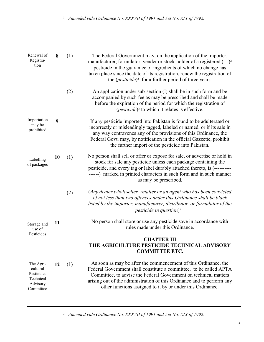² Amended vide Ordinance No. XXXVII of 1991 and Act No. XIX of 1992.

| Renewal of<br>Registra-<br>tion                                           | 8  | (1) | The Federal Government may, on the application of the importer,<br>manufacturer, formulator, vender or stock-holder of a registered (---) <sup>2</sup><br>pesticide in the guarantee of ingredients of which no change has<br>taken place since the date of its registration, renew the registration of<br>the $(pesticide)^2$ for a further period of three years. |
|---------------------------------------------------------------------------|----|-----|---------------------------------------------------------------------------------------------------------------------------------------------------------------------------------------------------------------------------------------------------------------------------------------------------------------------------------------------------------------------|
|                                                                           |    | (2) | An application under sub-section (I) shall be in such form and be<br>accompanied by such fee as may be prescribed and shall be made<br>before the expiration of the period for which the registration of<br>( <i>pesticide</i> ) <sup>2</sup> to which it relates is effective.                                                                                     |
| Importation<br>may be<br>prohibited                                       | 9  |     | If any pesticide imported into Pakistan is found to be adulterated or<br>incorrectly or misleadingly tagged, labeled or named, or if its sale in<br>any way contravenes any of the provisions of this Ordinance, the<br>Federal Govt. may, by notification in the official Gazzette, prohibit<br>the further import of the pesticide into Pakistan.                 |
| Labelling<br>of packages                                                  | 10 | (1) | No person shall sell or offer or expose for sale, or advertise or hold in<br>stock for sale any pesticide unless each package containing the<br>pesticide, and every tag or label durably attached thereto, is (----------<br>------) marked in printed characters in such form and in such manner<br>as may be prescribed.                                         |
|                                                                           |    | (2) | (Any dealer wholeseller, retailer or an agent who has been convicted<br>of not less than two offences under this Ordinance shall be black<br>listed by the importer, manufacturer, distributor or formulator of the<br>pesticide in question) <sup>4</sup>                                                                                                          |
| Storage and<br>use of<br>Pesticides                                       | 11 |     | No person shall store or use any pesticide save in accordance with<br>rules made under this Ordinance.                                                                                                                                                                                                                                                              |
|                                                                           |    |     | <b>CHAPTER III</b><br>THE AGRICULTURE PESTICIDE TECHNICAL ADVISORY<br><b>COMMITTEE ETC.</b>                                                                                                                                                                                                                                                                         |
| The Agri-<br>cultural<br>Pesticides<br>Technical<br>Advisory<br>Committee | 12 | (1) | As soon as may be after the commencement of this Ordinance, the<br>Federal Government shall constitute a committee, to be called APTA<br>Committee, to advise the Federal Government on technical matters<br>arising out of the administration of this Ordinance and to perform any<br>other functions assigned to it by or under this Ordinance.                   |

² Amended vide Ordinance No. XXXVII of 1991 and Act No. XIX of 1992.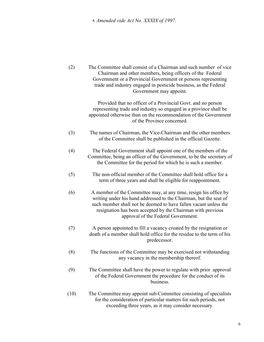⒋Amended vide Act No. XXXIX of 1997.

| (2)  | The Committee shall consist of a Chairman and such number of vice<br>Chairman and other members, being officers of the Federal<br>Government or a Provincial Government or persons representing<br>trade and industry engaged in pesticide business, as the Federal<br>Government may appoint.                  |
|------|-----------------------------------------------------------------------------------------------------------------------------------------------------------------------------------------------------------------------------------------------------------------------------------------------------------------|
|      | Provided that no officer of a Provincial Govt. and no person<br>representing trade and industry so engaged in a province shall be<br>appointed otherwise than on the recommendation of the Government<br>of the Province concerned.                                                                             |
| (3)  | The names of Chairman, the Vice-Chairman and the other members<br>of the Committee shall be published in the official Gazette.                                                                                                                                                                                  |
| (4)  | The Federal Government shall appoint one of the members of the<br>Committee, being an officer of the Government, to be the secretary of<br>the Committee for the period for which he is such a member.                                                                                                          |
| (5)  | The non-official member of the Committee shall hold office for a<br>term of three years and shall be eligible for reappointment.                                                                                                                                                                                |
| (6)  | A member of the Committee may, at any time, resign his office by<br>writing under his hand addressed to the Chairman, but the seat of<br>such member shall not be deemed to have fallen vacant unless the<br>resignation has been accepted by the Chairman with previous<br>approval of the Federal Government. |
| (7)  | A person appointed to fill a vacancy created by the resignation or<br>death of a member shall hold office for the residue to the term of his<br>predecessor.                                                                                                                                                    |
| (8)  | The functions of the Committee may be exercised not withstanding<br>any vacancy in the membership thereof.                                                                                                                                                                                                      |
| (9)  | The Committee shall have the power to regulate with prior approval<br>of the Federal Government the procedure for the conduct of its<br>business.                                                                                                                                                               |
| (10) | The Committee may appoint sub-Committee consisting of specialists<br>for the consideration of particular matters for such periods, not<br>exceeding three years, as it may consider necessary.                                                                                                                  |

6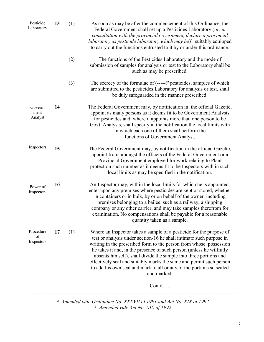| Pesticide<br>Laboratory       | 13 | (1) | As soon as may be after the commencement of this Ordinance, the<br>Federal Government shall set up a Pesticides Laboratory (or, in<br>consultation with the provincial government, declare a provincial<br>laboratory as pesticide laboratory which may be) <sup>3</sup> suitably equipped<br>to carry out the functions entrusted to it by or under this ordinance.                                                                                                                                                        |
|-------------------------------|----|-----|-----------------------------------------------------------------------------------------------------------------------------------------------------------------------------------------------------------------------------------------------------------------------------------------------------------------------------------------------------------------------------------------------------------------------------------------------------------------------------------------------------------------------------|
|                               |    | (2) | The functions of the Pesticides Laboratory and the mode of<br>submission of samples for analysis or test to the Laboratory shall be<br>such as may be prescribed.                                                                                                                                                                                                                                                                                                                                                           |
|                               |    | (3) | The secrecy of the formulae of $(---)^2$ pesticides, samples of which<br>are submitted to the pesticides Laboratory for analysis or test, shall<br>be duly safeguarded in the manner prescribed.                                                                                                                                                                                                                                                                                                                            |
| Govern-<br>ment<br>Analyst    | 14 |     | The Federal Government may, by notification in the official Gazette,<br>appoint as many persons as it deems fit to be Government Analysts<br>for pesticides and, where it appoints more than one person to be<br>Govt. Analysts, shall specify in the notification the local limits with<br>in which each one of them shall perform the<br>functions of Government Analyst.                                                                                                                                                 |
| Inspectors                    | 15 |     | The Federal Government may, by notification in the official Gazette,<br>appoint from amongst the officers of the Federal Government or a<br>Provincial Government employed for work relating to Plant<br>protection such number as it deems fit to be Inspectors with in such<br>local limits as may be specified in the notification.                                                                                                                                                                                      |
| Power of<br>Inspectors        | 16 |     | An Inspector may, within the local limits for which he is appointed,<br>enter upon any premises where pesticides are kept or stored, whether<br>in containers or in bulk, by or on behalf of the owner, including<br>premises belonging to a bailee, such as a railway, a shipping<br>company or any other carrier, and may take samples therefrom for<br>examination. No compensations shall be payable for a reasonable<br>quantity taken as a sample.                                                                    |
| Procedure<br>of<br>Inspectors | 17 | (1) | Where an Inspector takes a sample of a pesticide for the purpose of<br>test or analysis under section-16 he shall intimate such purpose in<br>writing in the prescribed form to the person from whose possession<br>he takes it and, in the presence of such person (unless he willfully<br>absents himself), shall divide the sample into three portions and<br>effectively seal and suitably marks the same and permit such person<br>to add his own seal and mark to all or any of the portions so sealed<br>and marked: |
|                               |    |     | Contd                                                                                                                                                                                                                                                                                                                                                                                                                                                                                                                       |

<sup>2</sup> Amended vide Ordinance No. XXXVII of 1991 and Act No. XIX of 1992. <sup>3</sup> Amended vide Act No. XIX of 1992.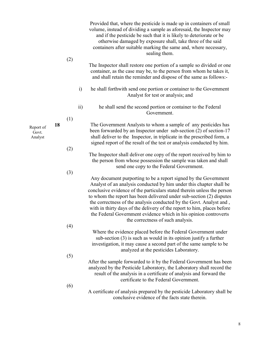|                               |    | (2) |                 | Provided that, where the pesticide is made up in containers of small<br>volume, instead of dividing a sample as aforesaid, the Inspector may<br>and if the pesticide be such that it is likely to deteriorate or be<br>otherwise damaged by exposure shall, take three of the said<br>containers after suitable marking the same and, where necessary,<br>sealing them.                                                                                                                                                                              |
|-------------------------------|----|-----|-----------------|------------------------------------------------------------------------------------------------------------------------------------------------------------------------------------------------------------------------------------------------------------------------------------------------------------------------------------------------------------------------------------------------------------------------------------------------------------------------------------------------------------------------------------------------------|
|                               |    |     |                 | The Inspector shall restore one portion of a sample so divided or one<br>container, as the case may be, to the person from whom he takes it,<br>and shall retain the reminder and dispose of the same as follows:-                                                                                                                                                                                                                                                                                                                                   |
|                               |    |     | $\ddot{1}$      | he shall forthwith send one portion or container to the Government<br>Analyst for test or analysis; and                                                                                                                                                                                                                                                                                                                                                                                                                                              |
|                               |    |     | $\overline{ii}$ | he shall send the second portion or container to the Federal<br>Government.                                                                                                                                                                                                                                                                                                                                                                                                                                                                          |
| Report of<br>Govt.<br>Analyst | 18 | (1) |                 | The Government Analysts to whom a sample of any pesticides has<br>been forwarded by an Inspector under sub-section (2) of section-17<br>shall deliver to the Inspector, in triplicate in the prescribed form, a<br>signed report of the result of the test or analysis conducted by him.                                                                                                                                                                                                                                                             |
|                               |    | (2) |                 | The Inspector shall deliver one copy of the report received by him to<br>the person from whose possession the sample was taken and shall<br>send one copy to the Federal Government.                                                                                                                                                                                                                                                                                                                                                                 |
|                               |    | (3) |                 | Any document purporting to be a report signed by the Government<br>Analyst of an analysis conducted by him under this chapter shall be<br>conclusive evidence of the particulars stated therein unless the person<br>to whom the report has been delivered under sub-section (2) disputes<br>the correctness of the analysis conducted by the Govt. Analyst and,<br>with in thirty days of the delivery of the report to him, places before<br>the Federal Government evidence which in his opinion controverts<br>the correctness of such analysis. |
|                               |    | (4) |                 | Where the evidence placed before the Federal Government under<br>sub-section $(3)$ is such as would in its opinion justify a further<br>investigation, it may cause a second part of the same sample to be<br>analyzed at the pesticides Laboratory.                                                                                                                                                                                                                                                                                                 |
|                               |    | (5) |                 | After the sample forwarded to it by the Federal Government has been<br>analyzed by the Pesticide Laboratory, the Laboratory shall record the<br>result of the analysis in a certificate of analysis and forward the<br>certificate to the Federal Government.                                                                                                                                                                                                                                                                                        |
|                               |    | (6) |                 | A certificate of analysis prepared by the pesticide Laboratory shall be<br>conclusive evidence of the facts state therein.                                                                                                                                                                                                                                                                                                                                                                                                                           |

8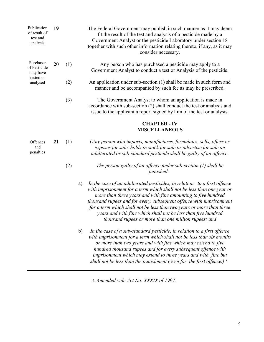| Publication<br>of result of<br>test and<br>analysis | 19 |     |    | The Federal Government may publish in such manner as it may deem<br>fit the result of the test and analysis of a pesticide made by a<br>Government Analyst or the pesticide Laboratory under section 18<br>together with such other information relating thereto, if any, as it may<br>consider necessary.                                                                                                                                                                                 |
|-----------------------------------------------------|----|-----|----|--------------------------------------------------------------------------------------------------------------------------------------------------------------------------------------------------------------------------------------------------------------------------------------------------------------------------------------------------------------------------------------------------------------------------------------------------------------------------------------------|
| Purchaser<br>of Pesticide<br>may have               | 20 | (1) |    | Any person who has purchased a pesticide may apply to a<br>Government Analyst to conduct a test or Analysis of the pesticide.                                                                                                                                                                                                                                                                                                                                                              |
| tested or<br>analysed                               |    | (2) |    | An application under sub-section (1) shall be made in such form and<br>manner and be accompanied by such fee as may be prescribed.                                                                                                                                                                                                                                                                                                                                                         |
|                                                     |    | (3) |    | The Government Analyst to whom an application is made in<br>accordance with sub-section (2) shall conduct the test or analysis and<br>issue to the applicant a report signed by him of the test or analysis.                                                                                                                                                                                                                                                                               |
|                                                     |    |     |    | <b>CHAPTER - IV</b><br><b>MISCELLANEOUS</b>                                                                                                                                                                                                                                                                                                                                                                                                                                                |
| Offences<br>and<br>penalties                        | 21 | (1) |    | (Any person who imports, manufactures, formulates, sells, offers or<br>exposes for sale, holds in stock for sale or advertise for sale an<br>adulterated or sub-standard pesticide shall be guilty of an offence.                                                                                                                                                                                                                                                                          |
|                                                     |    | (2) |    | The person guilty of an offence under sub-section $(1)$ shall be<br>punished:-                                                                                                                                                                                                                                                                                                                                                                                                             |
|                                                     |    |     | a) | In the case of an adulterated pesticides, in relation to a first offence<br>with imprisonment for a term which shall not be less than one year or<br>more than three years and with fine amounting to five hundred<br>thousand rupees and for every, subsequent offence with imprisonment<br>for a term which shall not be less than two years or more than three<br>years and with fine which shall not be less than five hundred<br>thousand rupees or more than one million rupees; and |
|                                                     |    |     | b) | In the case of a sub-standard pesticide, in relation to a first offence<br>with imprisonment for a term which shall not be less than six months<br>or more than two years and with fine which may extend to five<br>hundred thousand rupees and for every subsequent offence with<br>imprisonment which may extend to three years and with fine but                                                                                                                                        |

shall not be less than the punishment given for the first offence.)  $^4$ 

⒋Amended vide Act No. XXXIX of 1997.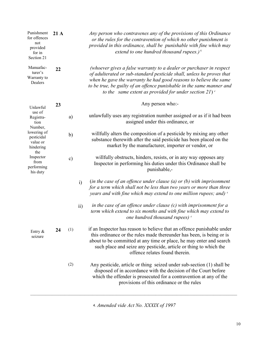| Punishment<br>for offences<br>not<br>provided<br>for in<br>Section 21                                    | 21A |               |     | Any person who contravenes any of the provisions of this Ordinance<br>or the rules for the contravention of which no other punishment is<br>provided in this ordinance, shall be punishable with fine which may<br>extend to one hundred thousand rupees.) <sup>4</sup>                                                                                |
|----------------------------------------------------------------------------------------------------------|-----|---------------|-----|--------------------------------------------------------------------------------------------------------------------------------------------------------------------------------------------------------------------------------------------------------------------------------------------------------------------------------------------------------|
| Manuafac-<br>turer's<br>Warranty to<br>Dealers                                                           | 22  |               |     | (whoever gives a false warranty to a dealer or purchaser in respect<br>of adulterated or sub-standard pesticide shall, unless he proves that<br>when he gave the warranty he had good reasons to believe the same<br>to be true, be guilty of an offence punishable in the same manner and<br>to the same extent as provided for under section $21)^4$ |
| Unlawful                                                                                                 | 23  |               |     | Any person who:-                                                                                                                                                                                                                                                                                                                                       |
| use of<br>Registra-<br>tion<br>Number,                                                                   |     | a)            |     | unlawfully uses any registration number assigned or as if it had been<br>assigned under this ordinance, or                                                                                                                                                                                                                                             |
| lowering of<br>pesticidal<br>value or<br>hindering<br>the<br>Inspector<br>from<br>performing<br>his duty |     | b)            |     | willfully alters the composition of a pesticide by mixing any other<br>substance therewith after the said pesticide has been placed on the<br>market by the manufacturer, importer or vendor, or                                                                                                                                                       |
|                                                                                                          |     | $\mathbf{c})$ |     | willfully obstructs, hinders, resists, or in any way opposes any<br>Inspector in performing his duties under this Ordinance shall be<br>punishable,-                                                                                                                                                                                                   |
|                                                                                                          |     |               | i)  | (in the case of an offence under clause $(a)$ or $(b)$ with imprisonment<br>for a term which shall not be less than two years or more than three<br>years and with fine which may extend to one million rupees; and) 4                                                                                                                                 |
|                                                                                                          |     |               | ii) | in the case of an offence under clause $(c)$ with imprisonment for a<br>term which extend to six months and with fine which may extend to<br>one hundred thousand rupees) <sup>4</sup>                                                                                                                                                                 |
| Entry $\&$<br>seizure                                                                                    | 24  | (1)           |     | if an Inspector has reason to believe that an offence punishable under<br>this ordinance or the rules made thereunder has been, is being or is<br>about to be committed at any time or place, he may enter and search<br>such place and seize any pesticide, article or thing to which the<br>offence relates found therein.                           |
|                                                                                                          |     | (2)           |     | Any pesticide, article or thing seized under sub-section (1) shall be<br>disposed of in accordance with the decision of the Court before<br>which the offender is prosecuted for a contravention at any of the<br>provisions of this ordinance or the rules                                                                                            |

⒋Amended vide Act No. XXXIX of 1997

 $\_$  , and the contribution of the contribution of the contribution of the contribution of  $\mathcal{L}_\text{max}$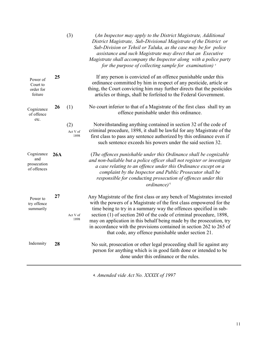|                                                 |     | (3)                     | (An Inspector may apply to the District Magistrate, Additional<br>District Magistrate, Sub-Divisional Magistrate of the District or<br>Sub-Division or Tehsil or Taluka, as the case may be for police<br>assistance and such Magistrate may direct that an Executive<br>Magistrate shall accompany the Inspector along with a police party<br>for the purpose of collecting sample for examination) <sup>4</sup>                                                                                 |
|-------------------------------------------------|-----|-------------------------|---------------------------------------------------------------------------------------------------------------------------------------------------------------------------------------------------------------------------------------------------------------------------------------------------------------------------------------------------------------------------------------------------------------------------------------------------------------------------------------------------|
| Power of<br>Court to<br>order for<br>feiture    | 25  |                         | If any person is convicted of an offence punishable under this<br>ordinance committed by him in respect of any pesticide, article or<br>thing, the Court convicting him may further directs that the pesticides<br>articles or things, shall be forfeited to the Federal Government.                                                                                                                                                                                                              |
| Cognizance<br>of offence                        | 26  | (1)                     | No court inferior to that of a Magistrate of the first class shall try an<br>offence punishable under this ordinance.                                                                                                                                                                                                                                                                                                                                                                             |
| etc.                                            |     | (2)<br>Act V of<br>1898 | Notwithstanding anything contained in section 32 of the code of<br>criminal procedure, 1898, it shall be lawful for any Magistrate of the<br>first class to pass any sentence authorized by this ordinance even if<br>such sentence exceeds his powers under the said section 32.                                                                                                                                                                                                                 |
| Cognizance<br>and<br>prosecution<br>of offences | 26A |                         | (The offences punishable under this Ordinance shall be cognizable<br>and non-bailable but a police officer shall not register or investigate<br>a case relating to an offence under this Ordinance except on a<br>complaint by the Inspector and Public Prosecutor shall be<br>responsible for conducting prosecution of offences under this<br>$ordinate)^4$                                                                                                                                     |
| Power to<br>try offence<br>summarily            | 27  | Act V of<br>1898        | Any Magistrate of the first class or any bench of Magistrates invested<br>with the powers of a Magistrate of the first class empowered for the<br>time being to try in a summary way the offences specified in sub-<br>section (1) of section 260 of the code of criminal procedure, 1898,<br>may on application in this behalf being made by the prosecution, try<br>in accordance with the provisions contained in section 262 to 265 of<br>that code, any offence punishable under section 21. |
| Indemnity                                       | 28  |                         | No suit, prosecution or other legal proceeding shall lie against any<br>person for anything which is in good faith done or intended to be<br>done under this ordinance or the rules.                                                                                                                                                                                                                                                                                                              |
|                                                 |     |                         |                                                                                                                                                                                                                                                                                                                                                                                                                                                                                                   |

⒋Amended vide Act No. XXXIX of 1997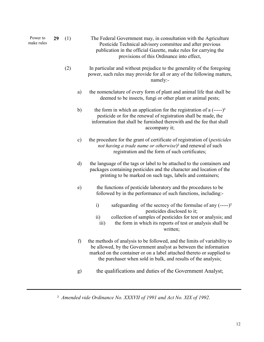| Power to<br>make rules | 29 | (1) |               | The Federal Government may, in consultation with the Agriculture<br>Pesticide Technical advisory committee and after previous<br>publication in the official Gazette, make rules for carrying the<br>provisions of this Ordinance into effect,                                         |
|------------------------|----|-----|---------------|----------------------------------------------------------------------------------------------------------------------------------------------------------------------------------------------------------------------------------------------------------------------------------------|
|                        |    | (2) |               | In particular and without prejudice to the generality of the foregoing<br>power, such rules may provide for all or any of the following matters,<br>namely:-                                                                                                                           |
|                        |    |     | a)            | the nomenclature of every form of plant and animal life that shall be<br>deemed to be insects, fungi or other plant or animal pests;                                                                                                                                                   |
|                        |    |     | b)            | the form in which an application for the registration of a $(---)^2$<br>pesticide or for the renewal of registration shall be made, the<br>information that shall be furnished therewith and the fee that shall<br>accompany it;                                                       |
|                        |    |     | $\mathbf{c})$ | the procedure for the grant of certificate of registration of ( <i>pesticides</i><br>not having a trade name or otherwise) <sup>2</sup> and renewal of such<br>registration and the form of such certificates;                                                                         |
|                        |    |     | d)            | the language of the tags or label to be attached to the containers and<br>packages containing pesticides and the character and location of the<br>printing to be marked on such tags, labels and containers;                                                                           |
|                        |    |     | e)            | the functions of pesticide laboratory and the procedures to be<br>followed by in the performance of such functions, including:-                                                                                                                                                        |
|                        |    |     |               | safeguarding of the secrecy of the formulae of any $(---)^2$<br>i)<br>pesticides disclosed to it;<br>collection of samples of pesticides for test or analysis; and<br>$\overline{ii}$<br>the form in which its reports of test or analysis shall be<br>$\overline{iii}$<br>written;    |
|                        |    |     | f)            | the methods of analysis to be followed, and the limits of variability to<br>be allowed, by the Government analyst as between the information<br>marked on the container or on a label attached thereto or supplied to<br>the purchaser when sold in bulk, and results of the analysis; |
|                        |    |     | g)            | the qualifications and duties of the Government Analyst;                                                                                                                                                                                                                               |

² Amended vide Ordinance No. XXXVII of 1991 and Act No. XIX of 1992.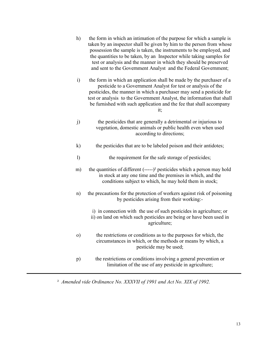- h) the form in which an intimation of the purpose for which a sample is taken by an inspector shall be given by him to the person from whose possession the sample is taken, the instruments to be employed, and the quantities to be taken, by an Inspector while taking samples for test or analysis and the manner in which they should be preserved and sent to the Government Analyst and the Federal Government;
- i) the form in which an application shall be made by the purchaser of a pesticide to a Government Analyst for test or analysis of the pesticides, the manner in which a purchaser may send a pesticide for test or analysis to the Government Analyst, the information that shall be furnished with such application and the fee that shall accompany it;
- j) the pesticides that are generally a detrimental or injurious to vegetation, domestic animals or public health even when used according to directions;
- k) the pesticides that are to be labeled poison and their antidotes;
- l) the requirement for the safe storage of pesticides;
- m) the quantities of different (-----)² pesticides which a person may hold in stock at any one time and the premises in which, and the conditions subject to which, he may hold them in stock;
- n) the precautions for the protection of workers against risk of poisoning by pesticides arising from their working:
	- i) in connection with the use of such pesticides in agriculture; or ii) on land on which such pesticides are being or have been used in agriculture;
- o) the restrictions or conditions as to the purposes for which, the circumstances in which, or the methods or means by which, a pesticide may be used;
- p) the restrictions or conditions involving a general prevention or limitation of the use of any pesticide in agriculture;

² Amended vide Ordinance No. XXXVII of 1991 and Act No. XIX of 1992.